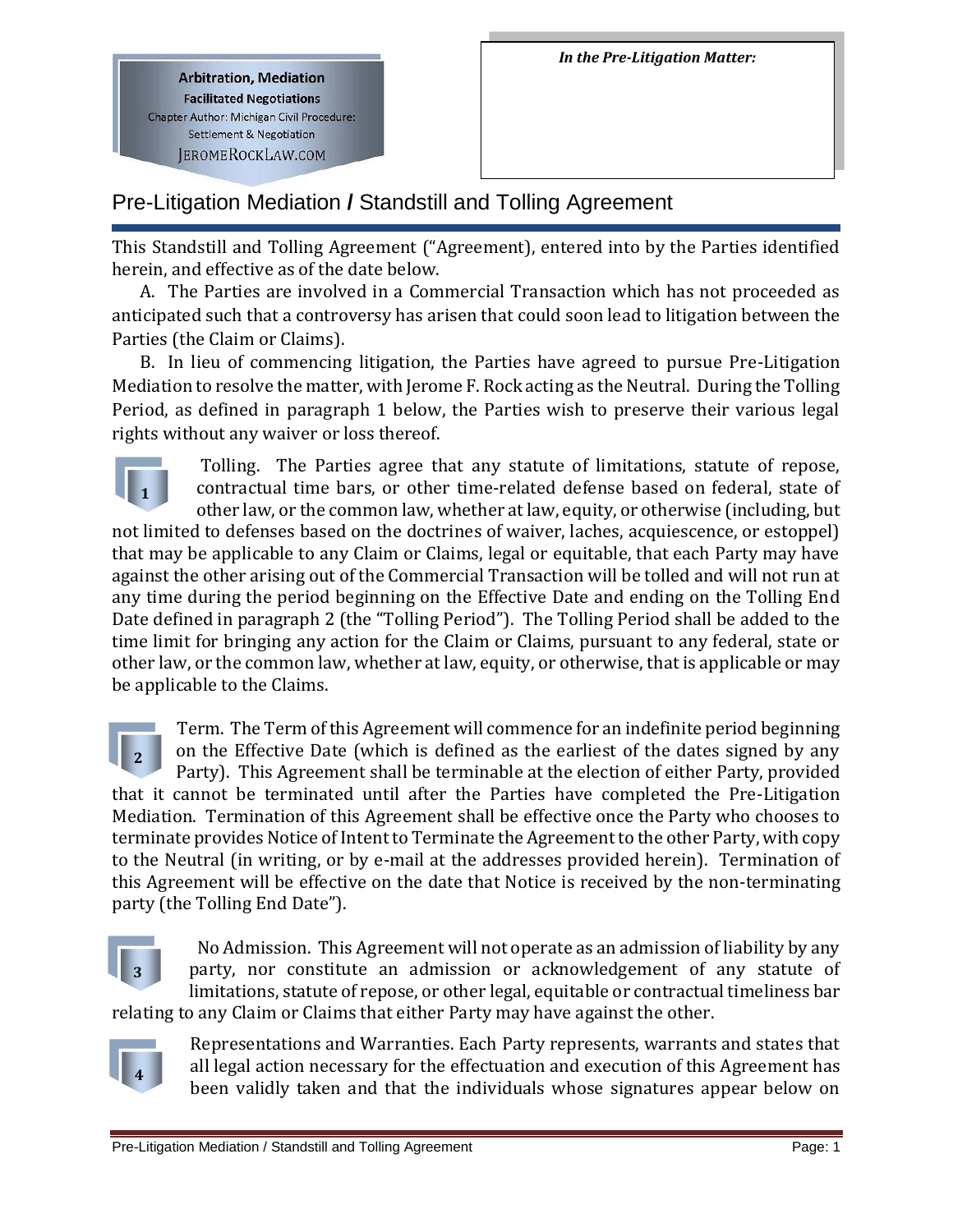**Arbitration, Mediation Facilitated Negotiations** Chapter Author: Michigan Civil Procedure: **Settlement & Negotiation JEROMEROCKLAW.COM** 

## Pre-Litigation Mediation **/** Standstill and Tolling Agreement

This Standstill and Tolling Agreement ("Agreement), entered into by the Parties identified herein, and effective as of the date below.

A. The Parties are involved in a Commercial Transaction which has not proceeded as anticipated such that a controversy has arisen that could soon lead to litigation between the Parties (the Claim or Claims).

B. In lieu of commencing litigation, the Parties have agreed to pursue Pre-Litigation Mediation to resolve the matter, with Jerome F. Rock acting as the Neutral. During the Tolling Period, as defined in paragraph 1 below, the Parties wish to preserve their various legal rights without any waiver or loss thereof.

Tolling. The Parties agree that any statute of limitations, statute of repose, contractual time bars, or other time-related defense based on federal, state of other law, or the common law, whether at law, equity, or otherwise (including, but not limited to defenses based on the doctrines of waiver, laches, acquiescence, or estoppel) that may be applicable to any Claim or Claims, legal or equitable, that each Party may have against the other arising out of the Commercial Transaction will be tolled and will not run at any time during the period beginning on the Effective Date and ending on the Tolling End Date defined in paragraph 2 (the "Tolling Period"). The Tolling Period shall be added to the time limit for bringing any action for the Claim or Claims, pursuant to any federal, state or other law, or the common law, whether at law, equity, or otherwise, that is applicable or may be applicable to the Claims. **1**

Term. The Term of this Agreement will commence for an indefinite period beginning on the Effective Date (which is defined as the earliest of the dates signed by any Party). This Agreement shall be terminable at the election of either Party, provided that it cannot be terminated until after the Parties have completed the Pre-Litigation Mediation. Termination of this Agreement shall be effective once the Party who chooses to terminate provides Notice of Intent to Terminate the Agreement to the other Party, with copy to the Neutral (in writing, or by e-mail at the addresses provided herein). Termination of this Agreement will be effective on the date that Notice is received by the non-terminating party (the Tolling End Date"). **2**



 No Admission. This Agreement will not operate as an admission of liability by any party, nor constitute an admission or acknowledgement of any statute of limitations, statute of repose, or other legal, equitable or contractual timeliness bar

relating to any Claim or Claims that either Party may have against the other.



Representations and Warranties. Each Party represents, warrants and states that all legal action necessary for the effectuation and execution of this Agreement has been validly taken and that the individuals whose signatures appear below on